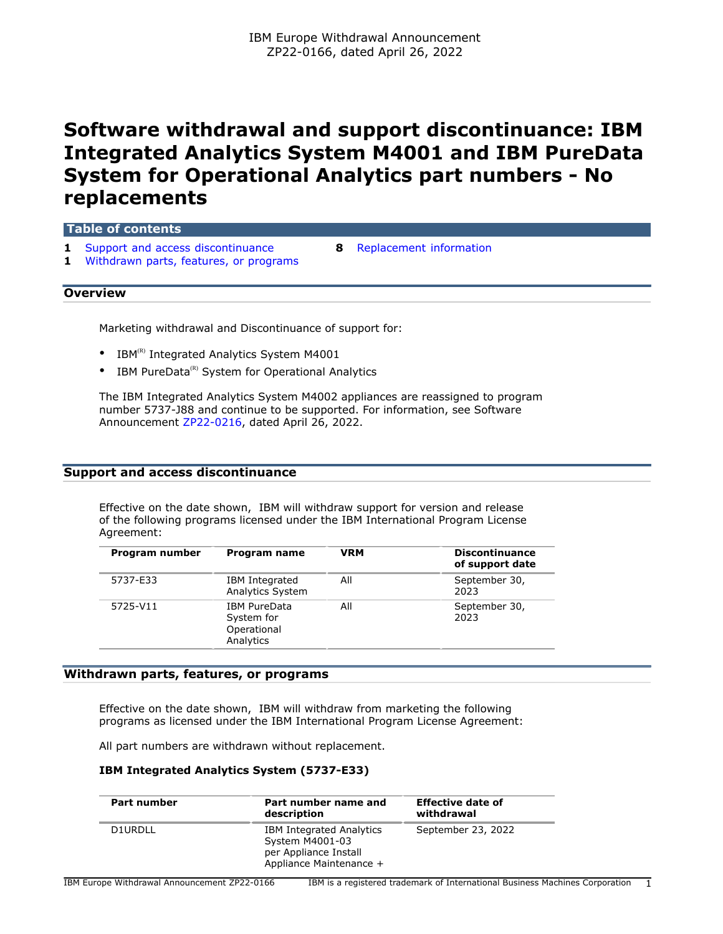# **Software withdrawal and support discontinuance: IBM Integrated Analytics System M4001 and IBM PureData System for Operational Analytics part numbers - No replacements**

| Table of contents                                                                      |    |                         |  |  |
|----------------------------------------------------------------------------------------|----|-------------------------|--|--|
| <b>1</b> Support and access discontinuance<br>1 Withdrawn parts, features, or programs | 8. | Replacement information |  |  |
| <b>Overview</b>                                                                        |    |                         |  |  |

Marketing withdrawal and Discontinuance of support for:

- IBM $^{(R)}$  Integrated Analytics System M4001
- IBM PureData ${}^{\text{\tiny(R)}}$  System for Operational Analytics

The IBM Integrated Analytics System M4002 appliances are reassigned to program number 5737-J88 and continue to be supported. For information, see Software Announcement [ZP22-0216,](http://www.ibm.com/common/ssi/cgi-bin/ssialias?infotype=an&subtype=ca&appname=gpateam&supplier=877&letternum=ENUSZP22-0216) dated April 26, 2022.

#### <span id="page-0-0"></span>**Support and access discontinuance**

Effective on the date shown, IBM will withdraw support for version and release of the following programs licensed under the IBM International Program License Agreement:

| Program number | Program name                                                  | <b>VRM</b> | <b>Discontinuance</b><br>of support date |
|----------------|---------------------------------------------------------------|------------|------------------------------------------|
| 5737-E33       | IBM Integrated<br>Analytics System                            | All        | September 30,<br>2023                    |
| 5725-V11       | <b>IBM PureData</b><br>System for<br>Operational<br>Analytics | All        | September 30,<br>2023                    |

#### <span id="page-0-1"></span>**Withdrawn parts, features, or programs**

Effective on the date shown, IBM will withdraw from marketing the following programs as licensed under the IBM International Program License Agreement:

All part numbers are withdrawn without replacement.

#### **IBM Integrated Analytics System (5737-E33)**

| Part number | Part number name and<br>description                                                                    | <b>Effective date of</b><br>withdrawal |
|-------------|--------------------------------------------------------------------------------------------------------|----------------------------------------|
| D1URDLL     | <b>IBM Integrated Analytics</b><br>System M4001-03<br>per Appliance Install<br>Appliance Maintenance + | September 23, 2022                     |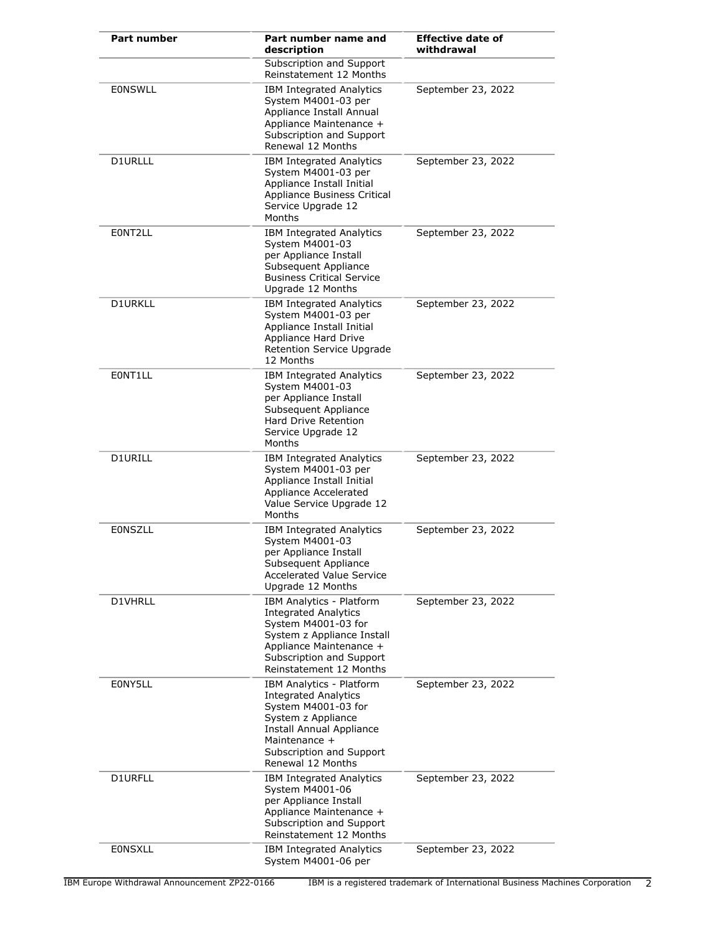| Part number    | Part number name and<br>description                                                                                                                                                                | <b>Effective date of</b><br>withdrawal |
|----------------|----------------------------------------------------------------------------------------------------------------------------------------------------------------------------------------------------|----------------------------------------|
|                | Subscription and Support<br>Reinstatement 12 Months                                                                                                                                                |                                        |
| <b>EONSWLL</b> | <b>IBM Integrated Analytics</b><br>System M4001-03 per<br>Appliance Install Annual<br>Appliance Maintenance +<br>Subscription and Support<br>Renewal 12 Months                                     | September 23, 2022                     |
| D1URLLL        | <b>IBM Integrated Analytics</b><br>System M4001-03 per<br>Appliance Install Initial<br>Appliance Business Critical<br>Service Upgrade 12<br>Months                                                 | September 23, 2022                     |
| E0NT2LL        | <b>IBM Integrated Analytics</b><br>System M4001-03<br>per Appliance Install<br>Subsequent Appliance<br><b>Business Critical Service</b><br>Upgrade 12 Months                                       | September 23, 2022                     |
| <b>D1URKLL</b> | <b>IBM Integrated Analytics</b><br>System M4001-03 per<br>Appliance Install Initial<br>Appliance Hard Drive<br>Retention Service Upgrade<br>12 Months                                              | September 23, 2022                     |
| EONT1LL        | <b>IBM Integrated Analytics</b><br>System M4001-03<br>per Appliance Install<br>Subsequent Appliance<br><b>Hard Drive Retention</b><br>Service Upgrade 12<br>Months                                 | September 23, 2022                     |
| D1URILL        | <b>IBM Integrated Analytics</b><br>System M4001-03 per<br>Appliance Install Initial<br>Appliance Accelerated<br>Value Service Upgrade 12<br>Months                                                 | September 23, 2022                     |
| <b>EONSZLL</b> | <b>IBM Integrated Analytics</b><br>System M4001-03<br>per Appliance Install<br>Subsequent Appliance<br><b>Accelerated Value Service</b><br>Upgrade 12 Months                                       | September 23, 2022                     |
| D1VHRLL        | IBM Analytics - Platform<br><b>Integrated Analytics</b><br>System M4001-03 for<br>System z Appliance Install<br>Appliance Maintenance +<br>Subscription and Support<br>Reinstatement 12 Months     | September 23, 2022                     |
| E0NY5LL        | IBM Analytics - Platform<br><b>Integrated Analytics</b><br>System M4001-03 for<br>System z Appliance<br>Install Annual Appliance<br>Maintenance +<br>Subscription and Support<br>Renewal 12 Months | September 23, 2022                     |
| D1URFLL        | <b>IBM Integrated Analytics</b><br>System M4001-06<br>per Appliance Install<br>Appliance Maintenance +<br>Subscription and Support<br>Reinstatement 12 Months                                      | September 23, 2022                     |
| <b>EONSXLL</b> | <b>IBM Integrated Analytics</b><br>System M4001-06 per                                                                                                                                             | September 23, 2022                     |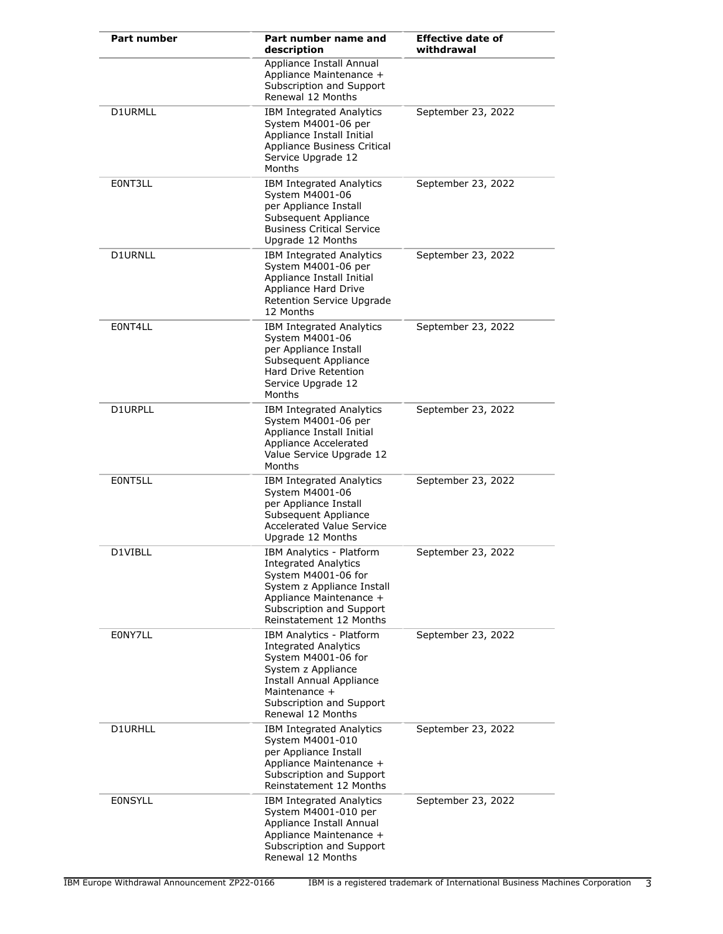| <b>Part number</b> | Part number name and<br>description                                                                                                                                                                | <b>Effective date of</b><br>withdrawal |
|--------------------|----------------------------------------------------------------------------------------------------------------------------------------------------------------------------------------------------|----------------------------------------|
|                    | Appliance Install Annual<br>Appliance Maintenance +<br>Subscription and Support<br>Renewal 12 Months                                                                                               |                                        |
| D1URMLL            | <b>IBM Integrated Analytics</b><br>System M4001-06 per<br>Appliance Install Initial<br>Appliance Business Critical<br>Service Upgrade 12<br>Months                                                 | September 23, 2022                     |
| E0NT3LL            | <b>IBM Integrated Analytics</b><br>System M4001-06<br>per Appliance Install<br>Subsequent Appliance<br><b>Business Critical Service</b><br>Upgrade 12 Months                                       | September 23, 2022                     |
| <b>D1URNLL</b>     | <b>IBM Integrated Analytics</b><br>System M4001-06 per<br>Appliance Install Initial<br>Appliance Hard Drive<br>Retention Service Upgrade<br>12 Months                                              | September 23, 2022                     |
| E0NT4LL            | IBM Integrated Analytics<br>System M4001-06<br>per Appliance Install<br>Subsequent Appliance<br>Hard Drive Retention<br>Service Upgrade 12<br>Months                                               | September 23, 2022                     |
| D1URPLL            | <b>IBM Integrated Analytics</b><br>System M4001-06 per<br>Appliance Install Initial<br>Appliance Accelerated<br>Value Service Upgrade 12<br>Months                                                 | September 23, 2022                     |
| EONT5LL            | <b>IBM Integrated Analytics</b><br>System M4001-06<br>per Appliance Install<br>Subsequent Appliance<br><b>Accelerated Value Service</b><br>Upgrade 12 Months                                       | September 23, 2022                     |
| D1VIBLL            | IBM Analytics - Platform<br><b>Integrated Analytics</b><br>System M4001-06 for<br>System z Appliance Install<br>Appliance Maintenance +<br>Subscription and Support<br>Reinstatement 12 Months     | September 23, 2022                     |
| E0NY7LL            | IBM Analytics - Platform<br><b>Integrated Analytics</b><br>System M4001-06 for<br>System z Appliance<br>Install Annual Appliance<br>Maintenance +<br>Subscription and Support<br>Renewal 12 Months | September 23, 2022                     |
| D1URHLL            | <b>IBM Integrated Analytics</b><br>System M4001-010<br>per Appliance Install<br>Appliance Maintenance +<br>Subscription and Support<br>Reinstatement 12 Months                                     | September 23, 2022                     |
| <b>EONSYLL</b>     | <b>IBM Integrated Analytics</b><br>System M4001-010 per<br>Appliance Install Annual<br>Appliance Maintenance +<br>Subscription and Support<br>Renewal 12 Months                                    | September 23, 2022                     |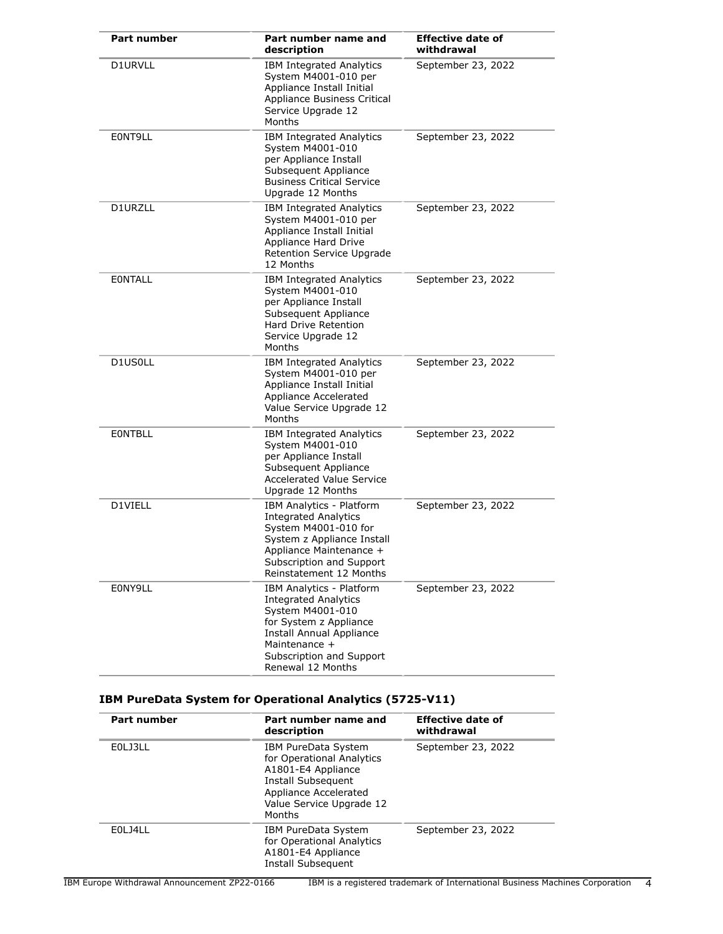| <b>Part number</b> | Part number name and<br>description                                                                                                                                                                        | <b>Effective date of</b><br>withdrawal |
|--------------------|------------------------------------------------------------------------------------------------------------------------------------------------------------------------------------------------------------|----------------------------------------|
| D1URVLL            | <b>IBM Integrated Analytics</b><br>System M4001-010 per<br>Appliance Install Initial<br>Appliance Business Critical<br>Service Upgrade 12<br>Months                                                        | September 23, 2022                     |
| EONT9LL            | <b>IBM Integrated Analytics</b><br>System M4001-010<br>per Appliance Install<br>Subsequent Appliance<br><b>Business Critical Service</b><br>Upgrade 12 Months                                              | September 23, 2022                     |
| D1URZLL            | <b>IBM Integrated Analytics</b><br>System M4001-010 per<br>Appliance Install Initial<br>Appliance Hard Drive<br>Retention Service Upgrade<br>12 Months                                                     | September 23, 2022                     |
| <b>EONTALL</b>     | IBM Integrated Analytics<br>System M4001-010<br>per Appliance Install<br>Subsequent Appliance<br><b>Hard Drive Retention</b><br>Service Upgrade 12<br>Months                                               | September 23, 2022                     |
| D1US0LL            | <b>IBM Integrated Analytics</b><br>System M4001-010 per<br>Appliance Install Initial<br>Appliance Accelerated<br>Value Service Upgrade 12<br>Months                                                        | September 23, 2022                     |
| <b>EONTBLL</b>     | <b>IBM Integrated Analytics</b><br>System M4001-010<br>per Appliance Install<br>Subsequent Appliance<br><b>Accelerated Value Service</b><br>Upgrade 12 Months                                              | September 23, 2022                     |
| D1VIELL            | IBM Analytics - Platform<br><b>Integrated Analytics</b><br>System M4001-010 for<br>System z Appliance Install<br>Appliance Maintenance +<br>Subscription and Support<br>Reinstatement 12 Months            | September 23, 2022                     |
| E0NY9LL            | IBM Analytics - Platform<br><b>Integrated Analytics</b><br>System M4001-010<br>for System z Appliance<br><b>Install Annual Appliance</b><br>Maintenance +<br>Subscription and Support<br>Renewal 12 Months | September 23, 2022                     |

### **IBM PureData System for Operational Analytics (5725-V11)**

| Part number | Part number name and<br>description                                                                                                                         | Effective date of<br>withdrawal |
|-------------|-------------------------------------------------------------------------------------------------------------------------------------------------------------|---------------------------------|
| E0LJ3LL     | IBM PureData System<br>for Operational Analytics<br>A1801-E4 Appliance<br>Install Subsequent<br>Appliance Accelerated<br>Value Service Upgrade 12<br>Months | September 23, 2022              |
| F01 141 L   | IBM PureData System<br>for Operational Analytics<br>A1801-E4 Appliance<br>Install Subsequent                                                                | September 23, 2022              |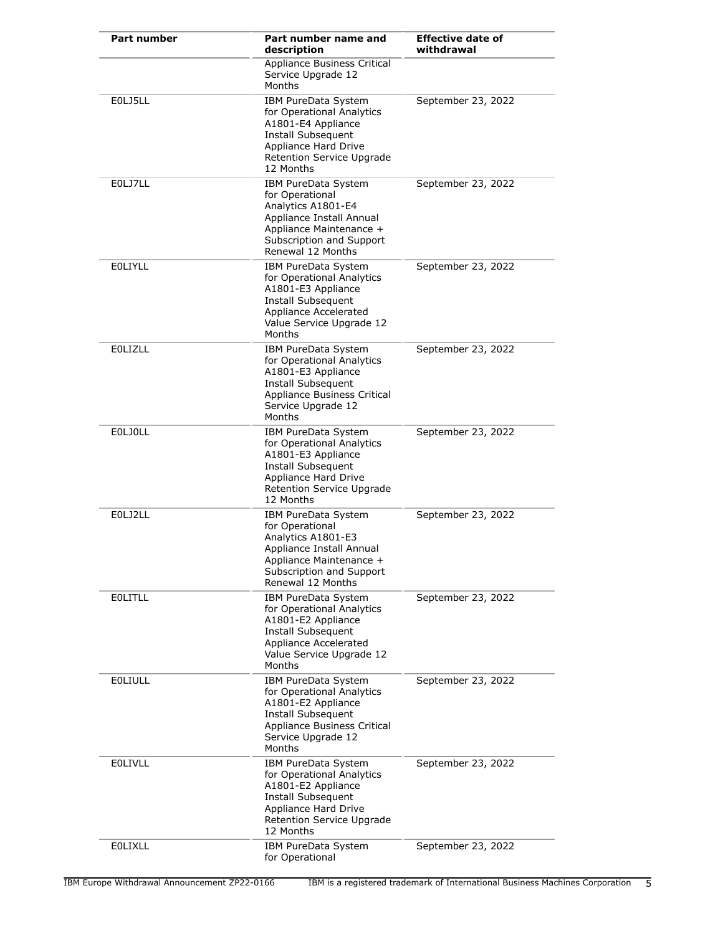| Part number    | Part number name and<br>description                                                                                                                                         | <b>Effective date of</b><br>withdrawal |
|----------------|-----------------------------------------------------------------------------------------------------------------------------------------------------------------------------|----------------------------------------|
|                | Appliance Business Critical<br>Service Upgrade 12<br>Months                                                                                                                 |                                        |
| E0LJ5LL        | IBM PureData System<br>for Operational Analytics<br>A1801-E4 Appliance<br>Install Subsequent<br>Appliance Hard Drive<br><b>Retention Service Upgrade</b><br>12 Months       | September 23, 2022                     |
| E0LJ7LL        | <b>IBM PureData System</b><br>for Operational<br>Analytics A1801-E4<br>Appliance Install Annual<br>Appliance Maintenance +<br>Subscription and Support<br>Renewal 12 Months | September 23, 2022                     |
| <b>EOLIYLL</b> | IBM PureData System<br>for Operational Analytics<br>A1801-E3 Appliance<br>Install Subsequent<br>Appliance Accelerated<br>Value Service Upgrade 12<br>Months                 | September 23, 2022                     |
| <b>EOLIZLL</b> | IBM PureData System<br>for Operational Analytics<br>A1801-E3 Appliance<br>Install Subsequent<br>Appliance Business Critical<br>Service Upgrade 12<br>Months                 | September 23, 2022                     |
| <b>EOLJOLL</b> | IBM PureData System<br>for Operational Analytics<br>A1801-E3 Appliance<br>Install Subsequent<br>Appliance Hard Drive<br>Retention Service Upgrade<br>12 Months              | September 23, 2022                     |
| E0LJ2LL        | IBM PureData System<br>for Operational<br>Analytics A1801-E3<br>Appliance Install Annual<br>Appliance Maintenance +<br>Subscription and Support<br>Renewal 12 Months        | September 23, 2022                     |
| <b>EOLITLL</b> | IBM PureData System<br>for Operational Analytics<br>A1801-E2 Appliance<br>Install Subsequent<br>Appliance Accelerated<br>Value Service Upgrade 12<br>Months                 | September 23, 2022                     |
| <b>EOLIULL</b> | IBM PureData System<br>for Operational Analytics<br>A1801-E2 Appliance<br>Install Subsequent<br>Appliance Business Critical<br>Service Upgrade 12<br>Months                 | September 23, 2022                     |
| <b>EOLIVLL</b> | IBM PureData System<br>for Operational Analytics<br>A1801-E2 Appliance<br>Install Subsequent<br>Appliance Hard Drive<br>Retention Service Upgrade<br>12 Months              | September 23, 2022                     |
| <b>EOLIXLL</b> | IBM PureData System<br>for Operational                                                                                                                                      | September 23, 2022                     |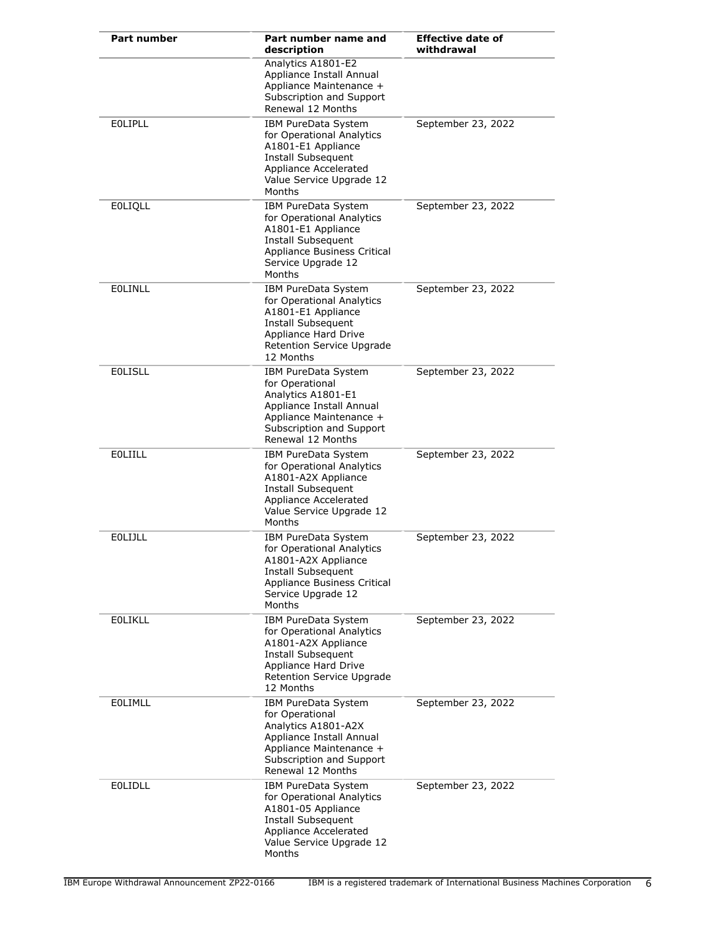| <b>Part number</b> | Part number name and<br>description                                                                                                                                         | <b>Effective date of</b><br>withdrawal |
|--------------------|-----------------------------------------------------------------------------------------------------------------------------------------------------------------------------|----------------------------------------|
|                    | Analytics A1801-E2<br>Appliance Install Annual<br>Appliance Maintenance +<br>Subscription and Support<br>Renewal 12 Months                                                  |                                        |
| <b>EOLIPLL</b>     | IBM PureData System<br>for Operational Analytics<br>A1801-E1 Appliance<br>Install Subsequent<br>Appliance Accelerated<br>Value Service Upgrade 12<br>Months                 | September 23, 2022                     |
| <b>EOLIQLL</b>     | IBM PureData System<br>for Operational Analytics<br>A1801-E1 Appliance<br>Install Subsequent<br>Appliance Business Critical<br>Service Upgrade 12<br>Months                 | September 23, 2022                     |
| <b>EOLINLL</b>     | IBM PureData System<br>for Operational Analytics<br>A1801-E1 Appliance<br>Install Subsequent<br>Appliance Hard Drive<br>Retention Service Upgrade<br>12 Months              | September 23, 2022                     |
| <b>EOLISLL</b>     | <b>IBM PureData System</b><br>for Operational<br>Analytics A1801-E1<br>Appliance Install Annual<br>Appliance Maintenance +<br>Subscription and Support<br>Renewal 12 Months | September 23, 2022                     |
| <b>EOLIILL</b>     | IBM PureData System<br>for Operational Analytics<br>A1801-A2X Appliance<br>Install Subsequent<br>Appliance Accelerated<br>Value Service Upgrade 12<br>Months                | September 23, 2022                     |
| EOLIJLL            | IBM PureData System<br>for Operational Analytics<br>A1801-A2X Appliance<br>Install Subsequent<br>Appliance Business Critical<br>Service Upgrade 12<br>Months                | September 23, 2022                     |
| <b>EOLIKLL</b>     | IBM PureData System<br>for Operational Analytics<br>A1801-A2X Appliance<br>Install Subsequent<br>Appliance Hard Drive<br>Retention Service Upgrade<br>12 Months             | September 23, 2022                     |
| <b>EOLIMLL</b>     | IBM PureData System<br>for Operational<br>Analytics A1801-A2X<br>Appliance Install Annual<br>Appliance Maintenance +<br>Subscription and Support<br>Renewal 12 Months       | September 23, 2022                     |
| <b>EOLIDLL</b>     | IBM PureData System<br>for Operational Analytics<br>A1801-05 Appliance<br>Install Subsequent<br>Appliance Accelerated<br>Value Service Upgrade 12<br>Months                 | September 23, 2022                     |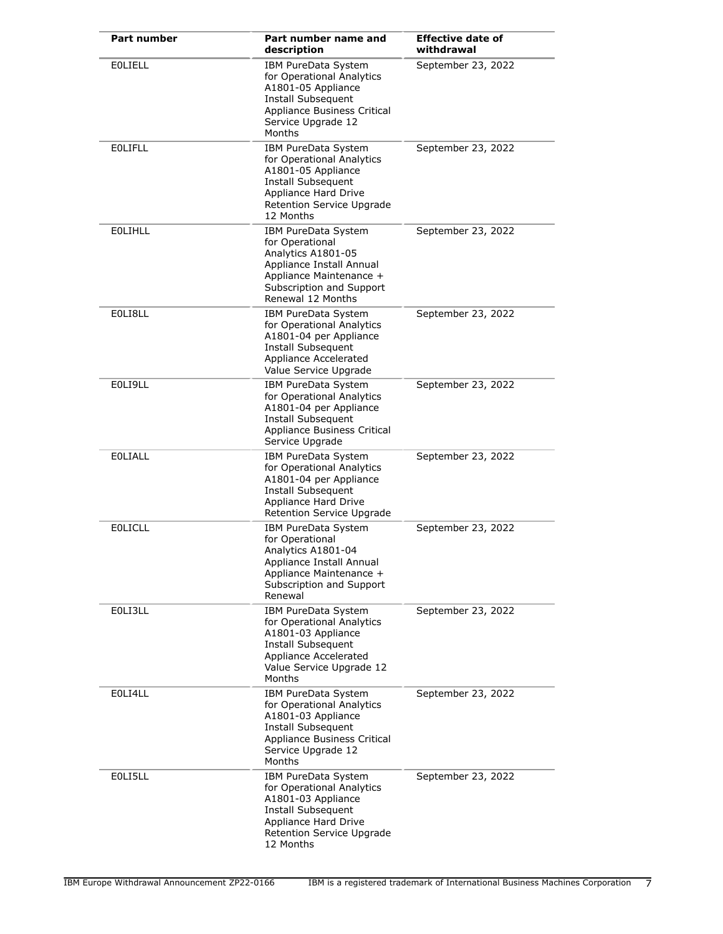| <b>Part number</b> | Part number name and<br>description                                                                                                                                  | <b>Effective date of</b><br>withdrawal |
|--------------------|----------------------------------------------------------------------------------------------------------------------------------------------------------------------|----------------------------------------|
| <b>EOLIELL</b>     | IBM PureData System<br>for Operational Analytics<br>A1801-05 Appliance<br><b>Install Subsequent</b><br>Appliance Business Critical<br>Service Upgrade 12<br>Months   | September 23, 2022                     |
| <b>EOLIFLL</b>     | IBM PureData System<br>for Operational Analytics<br>A1801-05 Appliance<br>Install Subsequent<br>Appliance Hard Drive<br>Retention Service Upgrade<br>12 Months       | September 23, 2022                     |
| <b>EOLIHLL</b>     | IBM PureData System<br>for Operational<br>Analytics A1801-05<br>Appliance Install Annual<br>Appliance Maintenance +<br>Subscription and Support<br>Renewal 12 Months | September 23, 2022                     |
| EOLI8LL            | IBM PureData System<br>for Operational Analytics<br>A1801-04 per Appliance<br>Install Subsequent<br>Appliance Accelerated<br>Value Service Upgrade                   | September 23, 2022                     |
| EOLI9LL            | IBM PureData System<br>for Operational Analytics<br>A1801-04 per Appliance<br>Install Subsequent<br>Appliance Business Critical<br>Service Upgrade                   | September 23, 2022                     |
| <b>EOLIALL</b>     | IBM PureData System<br>for Operational Analytics<br>A1801-04 per Appliance<br>Install Subsequent<br>Appliance Hard Drive<br>Retention Service Upgrade                | September 23, 2022                     |
| <b>EOLICLL</b>     | IBM PureData System<br>for Operational<br>Analytics A1801-04<br>Appliance Install Annual<br>Appliance Maintenance +<br>Subscription and Support<br>Renewal           | September 23, 2022                     |
| EOLI3LL            | IBM PureData System<br>for Operational Analytics<br>A1801-03 Appliance<br>Install Subsequent<br>Appliance Accelerated<br>Value Service Upgrade 12<br>Months          | September 23, 2022                     |
| E0LI4LL            | IBM PureData System<br>for Operational Analytics<br>A1801-03 Appliance<br>Install Subsequent<br>Appliance Business Critical<br>Service Upgrade 12<br>Months          | September 23, 2022                     |
| EOLI5LL            | IBM PureData System<br>for Operational Analytics<br>A1801-03 Appliance<br>Install Subsequent<br>Appliance Hard Drive<br>Retention Service Upgrade<br>12 Months       | September 23, 2022                     |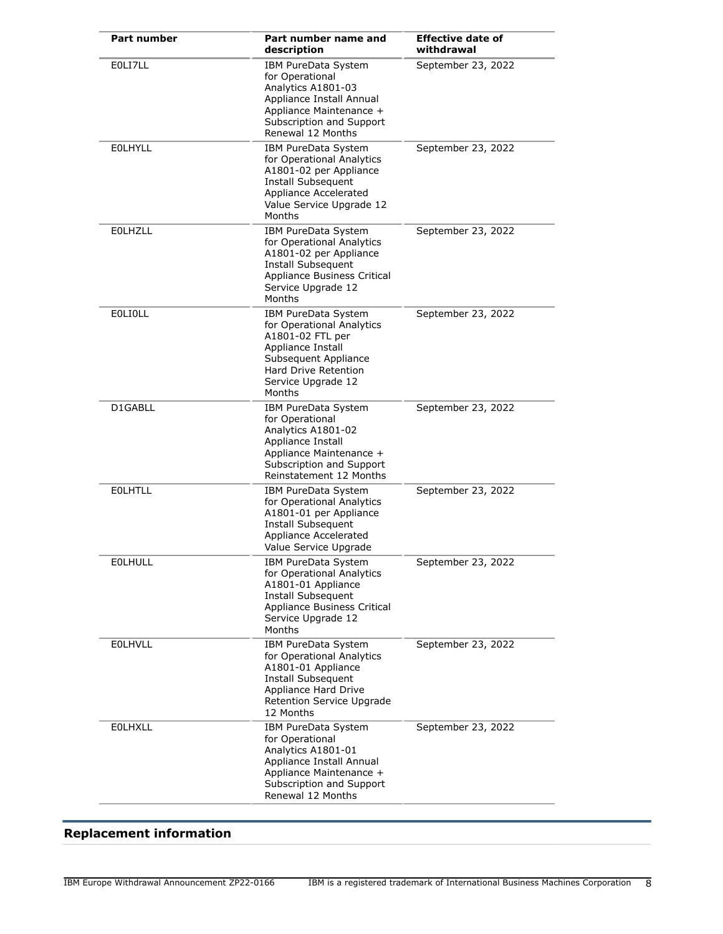| <b>Part number</b> | Part number name and<br>description                                                                                                                                       | <b>Effective date of</b><br>withdrawal |
|--------------------|---------------------------------------------------------------------------------------------------------------------------------------------------------------------------|----------------------------------------|
| EOLI7LL            | IBM PureData System<br>for Operational<br>Analytics A1801-03<br>Appliance Install Annual<br>Appliance Maintenance +<br>Subscription and Support<br>Renewal 12 Months      | September 23, 2022                     |
| <b>EOLHYLL</b>     | IBM PureData System<br>for Operational Analytics<br>A1801-02 per Appliance<br>Install Subsequent<br>Appliance Accelerated<br>Value Service Upgrade 12<br>Months           | September 23, 2022                     |
| <b>EOLHZLL</b>     | IBM PureData System<br>for Operational Analytics<br>A1801-02 per Appliance<br>Install Subsequent<br>Appliance Business Critical<br>Service Upgrade 12<br>Months           | September 23, 2022                     |
| <b>EOLIOLL</b>     | IBM PureData System<br>for Operational Analytics<br>A1801-02 FTL per<br>Appliance Install<br>Subsequent Appliance<br>Hard Drive Retention<br>Service Upgrade 12<br>Months | September 23, 2022                     |
| D1GABLL            | IBM PureData System<br>for Operational<br>Analytics A1801-02<br>Appliance Install<br>Appliance Maintenance +<br>Subscription and Support<br>Reinstatement 12 Months       | September 23, 2022                     |
| <b>EOLHTLL</b>     | IBM PureData System<br>for Operational Analytics<br>A1801-01 per Appliance<br><b>Install Subsequent</b><br>Appliance Accelerated<br>Value Service Upgrade                 | September 23, 2022                     |
| <b>EOLHULL</b>     | IBM PureData System<br>for Operational Analytics<br>A1801-01 Appliance<br>Install Subsequent<br>Appliance Business Critical<br>Service Upgrade 12<br>Months               | September 23, 2022                     |
| <b>EOLHVLL</b>     | IBM PureData System<br>for Operational Analytics<br>A1801-01 Appliance<br>Install Subsequent<br>Appliance Hard Drive<br>Retention Service Upgrade<br>12 Months            | September 23, 2022                     |
| <b>EOLHXLL</b>     | IBM PureData System<br>for Operational<br>Analytics A1801-01<br>Appliance Install Annual<br>Appliance Maintenance +<br>Subscription and Support<br>Renewal 12 Months      | September 23, 2022                     |

## <span id="page-7-0"></span>**Replacement information**